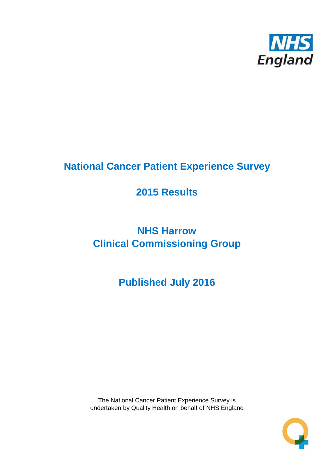

# **National Cancer Patient Experience Survey**

# **2015 Results**

# **NHS Harrow Clinical Commissioning Group**

# **Published July 2016**

The National Cancer Patient Experience Survey is undertaken by Quality Health on behalf of NHS England

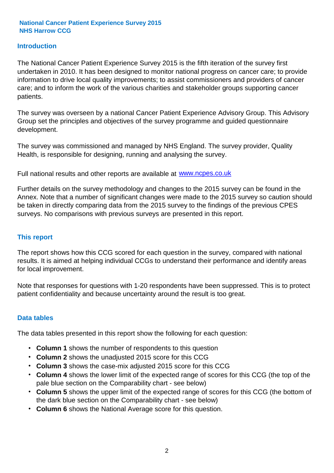### **Introduction**

The National Cancer Patient Experience Survey 2015 is the fifth iteration of the survey first undertaken in 2010. It has been designed to monitor national progress on cancer care; to provide information to drive local quality improvements; to assist commissioners and providers of cancer care; and to inform the work of the various charities and stakeholder groups supporting cancer patients.

The survey was overseen by a national Cancer Patient Experience Advisory Group. This Advisory Group set the principles and objectives of the survey programme and guided questionnaire development.

The survey was commissioned and managed by NHS England. The survey provider, Quality Health, is responsible for designing, running and analysing the survey.

Full national results and other reports are available at www.ncpes.co.uk

Further details on the survey methodology and changes to the 2015 survey can be found in the Annex. Note that a number of significant changes were made to the 2015 survey so caution should be taken in directly comparing data from the 2015 survey to the findings of the previous CPES surveys. No comparisons with previous surveys are presented in this report.

#### **This report**

The report shows how this CCG scored for each question in the survey, compared with national results. It is aimed at helping individual CCGs to understand their performance and identify areas for local improvement.

Note that responses for questions with 1-20 respondents have been suppressed. This is to protect patient confidentiality and because uncertainty around the result is too great.

#### **Data tables**

The data tables presented in this report show the following for each question:

- **Column 1** shows the number of respondents to this question
- **Column 2** shows the unadjusted 2015 score for this CCG
- **Column 3** shows the case-mix adjusted 2015 score for this CCG
- **Column 4** shows the lower limit of the expected range of scores for this CCG (the top of the pale blue section on the Comparability chart - see below)
- **Column 5** shows the upper limit of the expected range of scores for this CCG (the bottom of the dark blue section on the Comparability chart - see below)
- **Column 6** shows the National Average score for this question.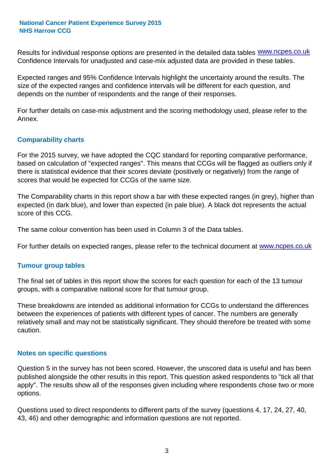Results for individual response options are presented in the detailed data tables **WWW.ncpes.co.uk** Confidence Intervals for unadjusted and case-mix adjusted data are provided in these tables.

Expected ranges and 95% Confidence Intervals highlight the uncertainty around the results. The size of the expected ranges and confidence intervals will be different for each question, and depends on the number of respondents and the range of their responses.

For further details on case-mix adjustment and the scoring methodology used, please refer to the Annex.

#### **Comparability charts**

For the 2015 survey, we have adopted the CQC standard for reporting comparative performance, based on calculation of "expected ranges". This means that CCGs will be flagged as outliers only if there is statistical evidence that their scores deviate (positively or negatively) from the range of scores that would be expected for CCGs of the same size.

The Comparability charts in this report show a bar with these expected ranges (in grey), higher than expected (in dark blue), and lower than expected (in pale blue). A black dot represents the actual score of this CCG.

The same colour convention has been used in Column 3 of the Data tables.

For further details on expected ranges, please refer to the technical document at **www.ncpes.co.uk** 

#### **Tumour group tables**

The final set of tables in this report show the scores for each question for each of the 13 tumour groups, with a comparative national score for that tumour group.

These breakdowns are intended as additional information for CCGs to understand the differences between the experiences of patients with different types of cancer. The numbers are generally relatively small and may not be statistically significant. They should therefore be treated with some caution.

#### **Notes on specific questions**

Question 5 in the survey has not been scored. However, the unscored data is useful and has been published alongside the other results in this report. This question asked respondents to "tick all that apply". The results show all of the responses given including where respondents chose two or more options.

Questions used to direct respondents to different parts of the survey (questions 4, 17, 24, 27, 40, 43, 46) and other demographic and information questions are not reported.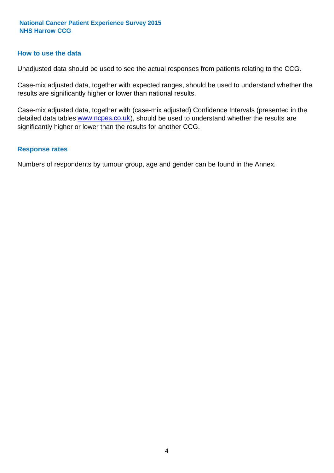#### **How to use the data**

Unadjusted data should be used to see the actual responses from patients relating to the CCG.

Case-mix adjusted data, together with expected ranges, should be used to understand whether the results are significantly higher or lower than national results.

Case-mix adjusted data, together with (case-mix adjusted) Confidence Intervals (presented in the detailed data tables **www.ncpes.co.uk**), should be used to understand whether the results are significantly higher or lower than the results for another CCG.

#### **Response rates**

Numbers of respondents by tumour group, age and gender can be found in the Annex.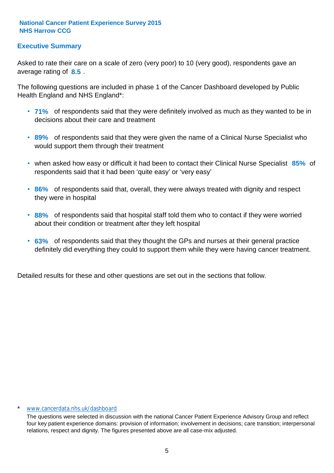## **Executive Summary**

average rating of 8.5. Asked to rate their care on a scale of zero (very poor) to 10 (very good), respondents gave an

The following questions are included in phase 1 of the Cancer Dashboard developed by Public Health England and NHS England\*:

- **71%** of respondents said that they were definitely involved as much as they wanted to be in decisions about their care and treatment
- **89%** of respondents said that they were given the name of a Clinical Nurse Specialist who would support them through their treatment
- when asked how easy or difficult it had been to contact their Clinical Nurse Specialist 85% of respondents said that it had been 'quite easy' or 'very easy'
- **86%** of respondents said that, overall, they were always treated with dignity and respect they were in hospital
- **88%** of respondents said that hospital staff told them who to contact if they were worried about their condition or treatment after they left hospital
- **63%** of respondents said that they thought the GPs and nurses at their general practice definitely did everything they could to support them while they were having cancer treatment.

Detailed results for these and other questions are set out in the sections that follow.

#### www.cancerdata.nhs.uk/dashboard

The questions were selected in discussion with the national Cancer Patient Experience Advisory Group and reflect four key patient experience domains: provision of information; involvement in decisions; care transition; interpersonal relations, respect and dignity. The figures presented above are all case-mix adjusted.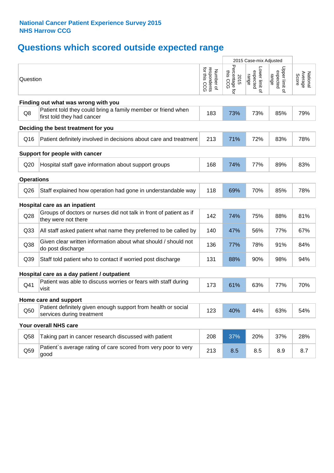# **Questions which scored outside expected range**

|                   |                                                                                            | 2015 Case-mix Adjusted                   |                                    |                                     |                                     |                              |
|-------------------|--------------------------------------------------------------------------------------------|------------------------------------------|------------------------------------|-------------------------------------|-------------------------------------|------------------------------|
| Question          |                                                                                            | respondents<br>for this CCG<br>Number of | Percentage for<br>this CCG<br>2015 | Lower limit of<br>expected<br>range | Upper limit of<br>expected<br>range | National<br>Average<br>Score |
|                   | Finding out what was wrong with you                                                        |                                          |                                    |                                     |                                     |                              |
| Q8                | Patient told they could bring a family member or friend when<br>first told they had cancer | 183                                      | 73%                                | 73%                                 | 85%                                 | 79%                          |
|                   | Deciding the best treatment for you                                                        |                                          |                                    |                                     |                                     |                              |
| Q16               | Patient definitely involved in decisions about care and treatment                          | 213                                      | 71%                                | 72%                                 | 83%                                 | 78%                          |
|                   | Support for people with cancer                                                             |                                          |                                    |                                     |                                     |                              |
| Q20               | Hospital staff gave information about support groups                                       | 168                                      | 74%                                | 77%                                 | 89%                                 | 83%                          |
| <b>Operations</b> |                                                                                            |                                          |                                    |                                     |                                     |                              |
| Q26               | Staff explained how operation had gone in understandable way                               | 118                                      | 69%                                | 70%                                 | 85%                                 | 78%                          |
|                   | Hospital care as an inpatient                                                              |                                          |                                    |                                     |                                     |                              |
| Q28               | Groups of doctors or nurses did not talk in front of patient as if<br>they were not there  | 142                                      | 74%                                | 75%                                 | 88%                                 | 81%                          |
| Q <sub>33</sub>   | All staff asked patient what name they preferred to be called by                           | 140                                      | 47%                                | 56%                                 | 77%                                 | 67%                          |
| Q38               | Given clear written information about what should / should not<br>do post discharge        | 136                                      | 77%                                | 78%                                 | 91%                                 | 84%                          |
| Q39               | Staff told patient who to contact if worried post discharge                                | 131                                      | 88%                                | 90%                                 | 98%                                 | 94%                          |
|                   | Hospital care as a day patient / outpatient                                                |                                          |                                    |                                     |                                     |                              |
| Q41               | Patient was able to discuss worries or fears with staff during<br>visit                    | 173                                      | 61%                                | 63%                                 | 77%                                 | 70%                          |
|                   | Home care and support                                                                      |                                          |                                    |                                     |                                     |                              |
| Q50               | Patient definitely given enough support from health or social<br>services during treatment | 123                                      | 40%                                | 44%                                 | 63%                                 | 54%                          |
|                   | Your overall NHS care                                                                      |                                          |                                    |                                     |                                     |                              |
| Q58               | Taking part in cancer research discussed with patient                                      | 208                                      | 37%                                | 20%                                 | 37%                                 | 28%                          |
| Q59               | Patient's average rating of care scored from very poor to very<br>good                     | 213                                      | 8.5                                | 8.5                                 | 8.9                                 | 8.7                          |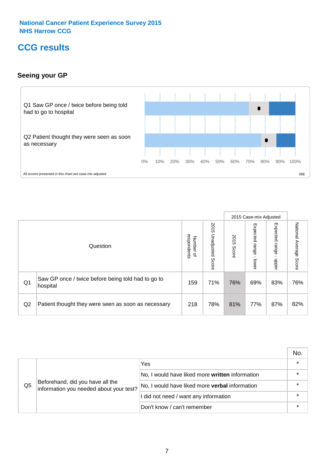# **CCG results**

## **Seeing your GP**



|    |                                                                |                          |                             |               | 2015 Case-mix Adjusted     |                            |                           |
|----|----------------------------------------------------------------|--------------------------|-----------------------------|---------------|----------------------------|----------------------------|---------------------------|
|    | Question                                                       | respondents<br>Number of | 2015<br>Unadjusted<br>Score | 2015<br>Score | Expected<br>range<br>lower | Expected<br>range<br>nbber | National Average<br>Score |
| Q1 | Saw GP once / twice before being told had to go to<br>hospital | 159                      | 71%                         | 76%           | 69%                        | 83%                        | 76%                       |
| Q2 | Patient thought they were seen as soon as necessary            | 218                      | 78%                         | 81%           | 77%                        | 87%                        | 82%                       |

|    |                                                                             |                                                 | No. |
|----|-----------------------------------------------------------------------------|-------------------------------------------------|-----|
|    |                                                                             | Yes                                             |     |
| Q5 | Beforehand, did you have all the<br>information you needed about your test? | No, I would have liked more written information |     |
|    |                                                                             | No, I would have liked more verbal information  |     |
|    |                                                                             | I did not need / want any information           |     |
|    |                                                                             | Don't know / can't remember                     |     |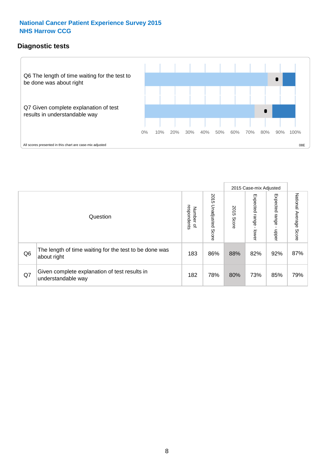## **Diagnostic tests**



|                |                                                                       |                                       |                             |               | 2015 Case-mix Adjusted       |                         |                           |
|----------------|-----------------------------------------------------------------------|---------------------------------------|-----------------------------|---------------|------------------------------|-------------------------|---------------------------|
|                | Question                                                              | respondents<br>Number<br>$\mathbf{Q}$ | 2015<br>Unadjusted<br>Score | 2015<br>Score | Expected<br>I range<br>lower | Expected range<br>nbber | National Average<br>Score |
| Q <sub>6</sub> | The length of time waiting for the test to be done was<br>about right | 183                                   | 86%                         | 88%           | 82%                          | 92%                     | 87%                       |
| Q7             | Given complete explanation of test results in<br>understandable way   | 182                                   | 78%                         | 80%           | 73%                          | 85%                     | 79%                       |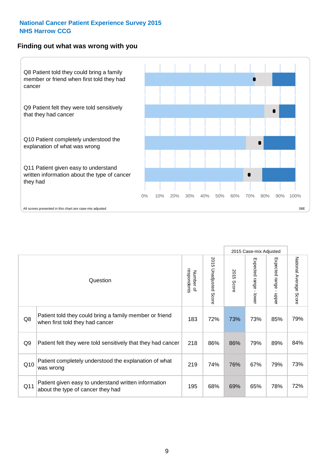#### **Finding out what was wrong with you**



|                |                                                                                            |                          |                             |               | 2015 Case-mix Adjusted                    |                           |                        |
|----------------|--------------------------------------------------------------------------------------------|--------------------------|-----------------------------|---------------|-------------------------------------------|---------------------------|------------------------|
|                | Question                                                                                   | respondents<br>Number of | 2015<br>Unadjusted<br>Score | 2015<br>Score | Expected range<br>$\blacksquare$<br>lower | Expected range -<br>nbber | National Average Score |
| Q8             | Patient told they could bring a family member or friend<br>when first told they had cancer | 183                      | 72%                         | 73%           | 73%                                       | 85%                       | 79%                    |
| Q <sub>9</sub> | Patient felt they were told sensitively that they had cancer                               | 218                      | 86%                         | 86%           | 79%                                       | 89%                       | 84%                    |
| Q10            | Patient completely understood the explanation of what<br>was wrong                         | 219                      | 74%                         | 76%           | 67%                                       | 79%                       | 73%                    |
| Q11            | Patient given easy to understand written information<br>about the type of cancer they had  | 195                      | 68%                         | 69%           | 65%                                       | 78%                       | 72%                    |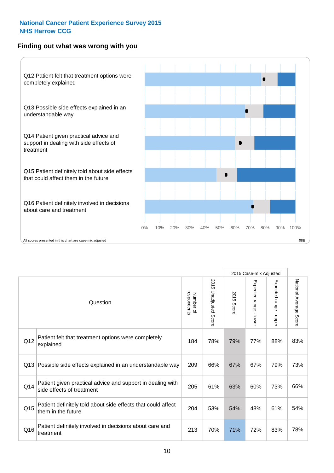## **Finding out what was wrong with you**



|     |                                                                                         |                          |                       |               | 2015 Case-mix Adjusted                  |                           |                        |
|-----|-----------------------------------------------------------------------------------------|--------------------------|-----------------------|---------------|-----------------------------------------|---------------------------|------------------------|
|     | Question                                                                                | respondents<br>Number of | 2015 Unadjusted Score | 2015<br>Score | Expected range<br>$\mathbf{I}$<br>lower | Expected range -<br>nbber | National Average Score |
| Q12 | Patient felt that treatment options were completely<br>explained                        | 184                      | 78%                   | 79%           | 77%                                     | 88%                       | 83%                    |
| Q13 | Possible side effects explained in an understandable way                                | 209                      | 66%                   | 67%           | 67%                                     | 79%                       | 73%                    |
| Q14 | Patient given practical advice and support in dealing with<br>side effects of treatment | 205                      | 61%                   | 63%           | 60%                                     | 73%                       | 66%                    |
| Q15 | Patient definitely told about side effects that could affect<br>them in the future      | 204                      | 53%                   | 54%           | 48%                                     | 61%                       | 54%                    |
| Q16 | Patient definitely involved in decisions about care and<br>treatment                    | 213                      | 70%                   | 71%           | 72%                                     | 83%                       | 78%                    |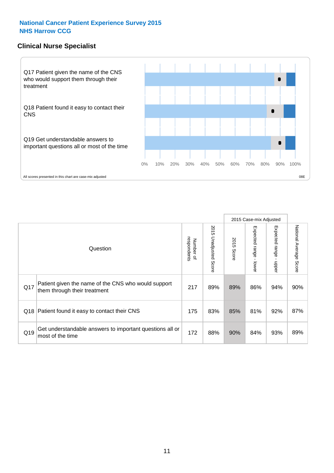### **Clinical Nurse Specialist**



|     |                                                                                     |                          |                       |               | 2015 Case-mix Adjusted  |                         |                        |
|-----|-------------------------------------------------------------------------------------|--------------------------|-----------------------|---------------|-------------------------|-------------------------|------------------------|
|     | Question                                                                            | respondents<br>Number of | 2015 Unadjusted Score | 2015<br>Score | Expected range<br>lower | Expected range<br>nbber | National Average Score |
| Q17 | Patient given the name of the CNS who would support<br>them through their treatment | 217                      | 89%                   | 89%           | 86%                     | 94%                     | 90%                    |
|     | Q18 Patient found it easy to contact their CNS                                      | 175                      | 83%                   | 85%           | 81%                     | 92%                     | 87%                    |
| Q19 | Get understandable answers to important questions all or<br>most of the time        | 172                      | 88%                   | 90%           | 84%                     | 93%                     | 89%                    |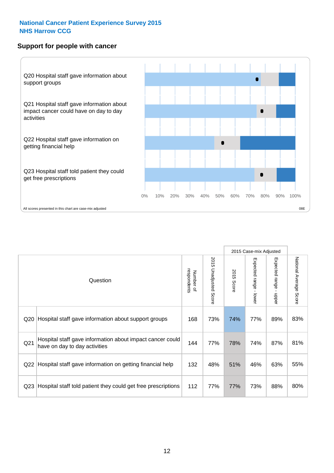#### **Support for people with cancer**



|                 |                                                                                            |                          |                             |               | 2015 Case-mix Adjusted                    |                                         |                        |
|-----------------|--------------------------------------------------------------------------------------------|--------------------------|-----------------------------|---------------|-------------------------------------------|-----------------------------------------|------------------------|
|                 | Question                                                                                   | respondents<br>Number of | 2015<br>Unadjusted<br>Score | 2015<br>Score | Expected range<br>$\blacksquare$<br>lower | Expected range<br>$\mathbf{r}$<br>nbber | National Average Score |
| Q20             | Hospital staff gave information about support groups                                       | 168                      | 73%                         | 74%           | 77%                                       | 89%                                     | 83%                    |
| Q <sub>21</sub> | Hospital staff gave information about impact cancer could<br>have on day to day activities | 144                      | 77%                         | 78%           | 74%                                       | 87%                                     | 81%                    |
| Q22             | Hospital staff gave information on getting financial help                                  | 132                      | 48%                         | 51%           | 46%                                       | 63%                                     | 55%                    |
| Q <sub>23</sub> | Hospital staff told patient they could get free prescriptions                              | 112                      | 77%                         | 77%           | 73%                                       | 88%                                     | 80%                    |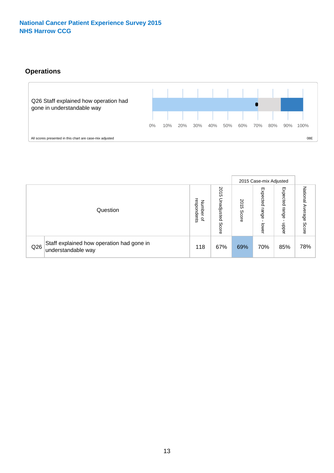# **Operations**



|     |                                                                 |                                         |                             |               | 2015 Case-mix Adjusted     |                           |                              |
|-----|-----------------------------------------------------------------|-----------------------------------------|-----------------------------|---------------|----------------------------|---------------------------|------------------------------|
|     | Question                                                        | respondents<br>Number<br>$\overline{a}$ | 2015<br>Unadjusted<br>Score | 2015<br>Score | Expected<br>range<br>lower | Expected<br>range<br>ddoe | National<br>Average<br>Score |
| Q26 | Staff explained how operation had gone in<br>understandable way | 118                                     | 67%                         | 69%           | 70%                        | 85%                       | 78%                          |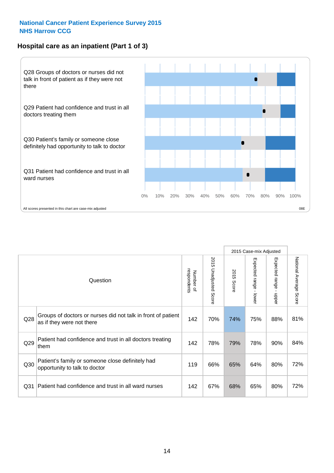# **Hospital care as an inpatient (Part 1 of 3)**



All scores presented in this chart are case-mix adjusted  $08E$ 

|                 |                                                                                           |                          |                                 |               | 2015 Case-mix Adjusted                  |                           |                        |
|-----------------|-------------------------------------------------------------------------------------------|--------------------------|---------------------------------|---------------|-----------------------------------------|---------------------------|------------------------|
|                 | Question                                                                                  | respondents<br>Number of | 2015<br><b>Unadjusted Score</b> | 2015<br>Score | Expected range<br>$\mathbf{r}$<br>lower | Expected range<br>- nbbeu | National Average Score |
| Q28             | Groups of doctors or nurses did not talk in front of patient<br>as if they were not there | 142                      | 70%                             | 74%           | 75%                                     | 88%                       | 81%                    |
| Q29             | Patient had confidence and trust in all doctors treating<br>them                          | 142                      | 78%                             | 79%           | 78%                                     | 90%                       | 84%                    |
| Q30             | Patient's family or someone close definitely had<br>opportunity to talk to doctor         | 119                      | 66%                             | 65%           | 64%                                     | 80%                       | 72%                    |
| Q <sub>31</sub> | Patient had confidence and trust in all ward nurses                                       | 142                      | 67%                             | 68%           | 65%                                     | 80%                       | 72%                    |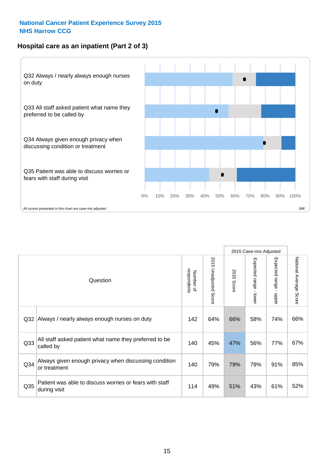## **Hospital care as an inpatient (Part 2 of 3)**



|                 |                                                                         |                          |                       |               | 2015 Case-mix Adjusted |                                           |                        |
|-----------------|-------------------------------------------------------------------------|--------------------------|-----------------------|---------------|------------------------|-------------------------------------------|------------------------|
|                 | Question                                                                | respondents<br>Number of | 2015 Unadjusted Score | 2015<br>Score | Expected range - lower | Expected range<br>$\blacksquare$<br>nbber | National Average Score |
| Q <sub>32</sub> | Always / nearly always enough nurses on duty                            | 142                      | 64%                   | 66%           | 58%                    | 74%                                       | 66%                    |
| Q <sub>33</sub> | All staff asked patient what name they preferred to be<br>called by     | 140                      | 45%                   | 47%           | 56%                    | 77%                                       | 67%                    |
| Q34             | Always given enough privacy when discussing condition<br>or treatment   | 140                      | 79%                   | 79%           | 79%                    | 91%                                       | 85%                    |
| Q <sub>35</sub> | Patient was able to discuss worries or fears with staff<br>during visit | 114                      | 49%                   | 51%           | 43%                    | 61%                                       | 52%                    |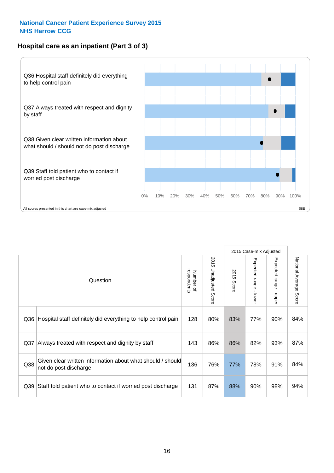### **Hospital care as an inpatient (Part 3 of 3)**



|     |                                                                                     |                          |                       |               | 2015 Case-mix Adjusted                    |                           |                        |
|-----|-------------------------------------------------------------------------------------|--------------------------|-----------------------|---------------|-------------------------------------------|---------------------------|------------------------|
|     | Question                                                                            | respondents<br>Number of | 2015 Unadjusted Score | 2015<br>Score | Expected range<br>$\blacksquare$<br>lower | Expected range -<br>nbber | National Average Score |
| Q36 | Hospital staff definitely did everything to help control pain                       | 128                      | 80%                   | 83%           | 77%                                       | 90%                       | 84%                    |
| Q37 | Always treated with respect and dignity by staff                                    | 143                      | 86%                   | 86%           | 82%                                       | 93%                       | 87%                    |
| Q38 | Given clear written information about what should / should<br>not do post discharge | 136                      | 76%                   | 77%           | 78%                                       | 91%                       | 84%                    |
| Q39 | Staff told patient who to contact if worried post discharge                         | 131                      | 87%                   | 88%           | 90%                                       | 98%                       | 94%                    |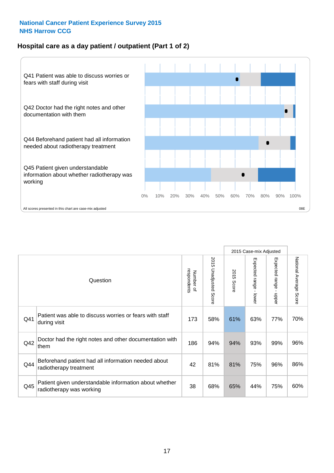## **Hospital care as a day patient / outpatient (Part 1 of 2)**



|     |                                                                                    |                          |                                 | 2015 Case-mix Adjusted |                                         |                                         |                        |
|-----|------------------------------------------------------------------------------------|--------------------------|---------------------------------|------------------------|-----------------------------------------|-----------------------------------------|------------------------|
|     | Question                                                                           | respondents<br>Number of | 2015<br><b>Unadjusted Score</b> | 2015<br>Score          | Expected range<br>$\mathbf{r}$<br>lower | Expected range<br>$\mathbf{r}$<br>nbber | National Average Score |
| Q41 | Patient was able to discuss worries or fears with staff<br>during visit            | 173                      | 58%                             | 61%                    | 63%                                     | 77%                                     | 70%                    |
| Q42 | Doctor had the right notes and other documentation with<br>them                    | 186                      | 94%                             | 94%                    | 93%                                     | 99%                                     | 96%                    |
| Q44 | Beforehand patient had all information needed about<br>radiotherapy treatment      | 42                       | 81%                             | 81%                    | 75%                                     | 96%                                     | 86%                    |
| Q45 | Patient given understandable information about whether<br>radiotherapy was working | 38                       | 68%                             | 65%                    | 44%                                     | 75%                                     | 60%                    |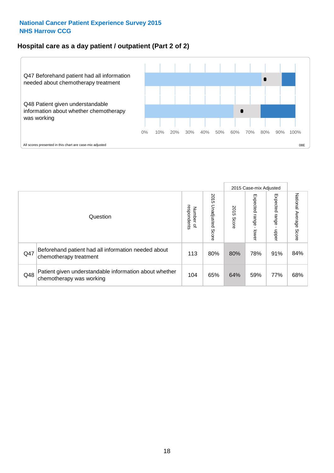### **Hospital care as a day patient / outpatient (Part 2 of 2)**



|     |                                                                                    |                                       |                             | 2015 Case-mix Adjusted |                              |                         |                           |
|-----|------------------------------------------------------------------------------------|---------------------------------------|-----------------------------|------------------------|------------------------------|-------------------------|---------------------------|
|     | Question                                                                           | respondents<br>Number<br>$\mathbf{Q}$ | 2015<br>Unadjusted<br>Score | 2015<br>Score          | Expected<br>I range<br>lower | Expected range<br>nbber | National Average<br>Score |
| Q47 | Beforehand patient had all information needed about<br>chemotherapy treatment      | 113                                   | 80%                         | 80%                    | 78%                          | 91%                     | 84%                       |
| Q48 | Patient given understandable information about whether<br>chemotherapy was working | 104                                   | 65%                         | 64%                    | 59%                          | 77%                     | 68%                       |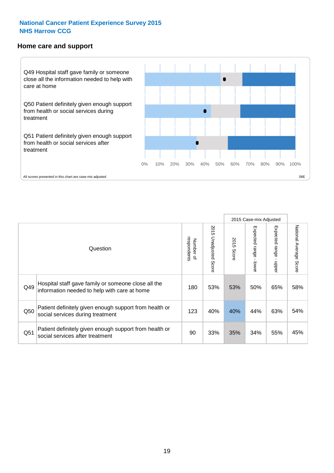#### **Home care and support**



All scores presented in this chart are case-mix adjusted

|     |                                                                                                     |                          |                                 | 2015 Case-mix Adjusted |                         |                        |                           |
|-----|-----------------------------------------------------------------------------------------------------|--------------------------|---------------------------------|------------------------|-------------------------|------------------------|---------------------------|
|     | Question                                                                                            | respondents<br>Number of | 2015<br><b>Unadjusted Score</b> | 2015<br>Score          | Expected range<br>lower | Expected range<br>ddau | National Average<br>Score |
| Q49 | Hospital staff gave family or someone close all the<br>information needed to help with care at home | 180                      | 53%                             | 53%                    | 50%                     | 65%                    | 58%                       |
| Q50 | Patient definitely given enough support from health or<br>social services during treatment          | 123                      | 40%                             | 40%                    | 44%                     | 63%                    | 54%                       |
| Q51 | Patient definitely given enough support from health or<br>social services after treatment           | 90                       | 33%                             | 35%                    | 34%                     | 55%                    | 45%                       |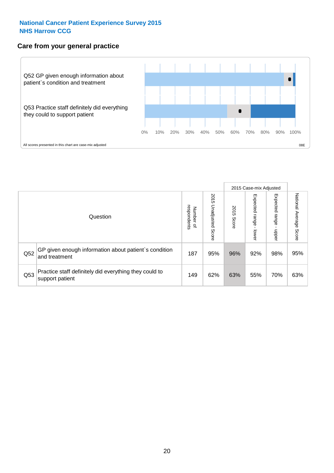#### **Care from your general practice**



|     |                                                                           |                                              |                             | 2015 Case-mix Adjusted |                              |                              |                           |
|-----|---------------------------------------------------------------------------|----------------------------------------------|-----------------------------|------------------------|------------------------------|------------------------------|---------------------------|
|     | Question                                                                  | respondents<br>Number<br>$\overline{\sigma}$ | 2015<br>Unadjusted<br>Score | 2015<br>Score          | Expected<br>I range<br>lower | Expected<br>  range<br>doper | National Average<br>Score |
| Q52 | GP given enough information about patient's condition<br>and treatment    | 187                                          | 95%                         | 96%                    | 92%                          | 98%                          | 95%                       |
| Q53 | Practice staff definitely did everything they could to<br>support patient | 149                                          | 62%                         | 63%                    | 55%                          | 70%                          | 63%                       |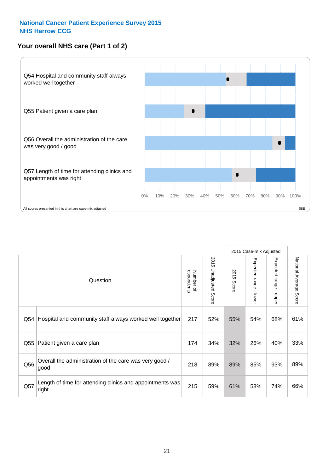# **Your overall NHS care (Part 1 of 2)**



|     |                                                                    |                          |                          |               | 2015 Case-mix Adjusted  |                                           |                        |
|-----|--------------------------------------------------------------------|--------------------------|--------------------------|---------------|-------------------------|-------------------------------------------|------------------------|
|     | Question                                                           | respondents<br>Number of | 2015<br>Unadjusted Score | 2015<br>Score | Expected range<br>lower | Expected range<br>$\blacksquare$<br>nbber | National Average Score |
| Q54 | Hospital and community staff always worked well together           | 217                      | 52%                      | 55%           | 54%                     | 68%                                       | 61%                    |
| Q55 | Patient given a care plan                                          | 174                      | 34%                      | 32%           | 26%                     | 40%                                       | 33%                    |
| Q56 | Overall the administration of the care was very good /<br>good     | 218                      | 89%                      | 89%           | 85%                     | 93%                                       | 89%                    |
| Q57 | Length of time for attending clinics and appointments was<br>right | 215                      | 59%                      | 61%           | 58%                     | 74%                                       | 66%                    |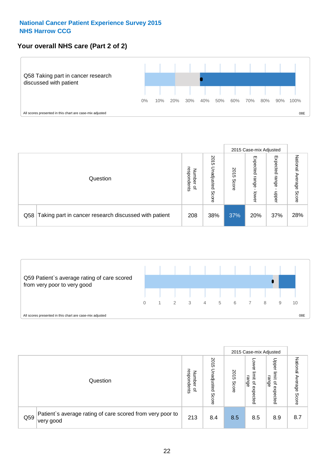## **Your overall NHS care (Part 2 of 2)**



|     |                                                       |                                         |                             | 2015 Case-mix Adjusted |                            |                            |                        |
|-----|-------------------------------------------------------|-----------------------------------------|-----------------------------|------------------------|----------------------------|----------------------------|------------------------|
|     | Question                                              | respondents<br>Number<br>$\overline{a}$ | 2015<br>Jnadjusted<br>Score | 2015<br>Score          | Expected<br>range<br>lower | Expected<br>range<br>doper | National Average Score |
| Q58 | Taking part in cancer research discussed with patient | 208                                     | 38%                         | 37%                    | 20%                        | 37%                        | 28%                    |



|     |                                                                        |                                              |                             |               |                                                    | 2015 Case-mix Adjusted                                |                              |
|-----|------------------------------------------------------------------------|----------------------------------------------|-----------------------------|---------------|----------------------------------------------------|-------------------------------------------------------|------------------------------|
|     | Question                                                               | respondents<br>Number<br>$\overline{\sigma}$ | 2015<br>Unadjusted<br>Score | 2015<br>Score | OWer<br>limit<br>range<br>$\mathbf{a}$<br>expected | Upper<br>limit<br>range<br>$\overline{a}$<br>expected | National<br>Average<br>Score |
| Q59 | Patient's average rating of care scored from very poor to<br>very good | 213                                          | 8.4                         | 8.5           | 8.5                                                | 8.9                                                   | 8.7                          |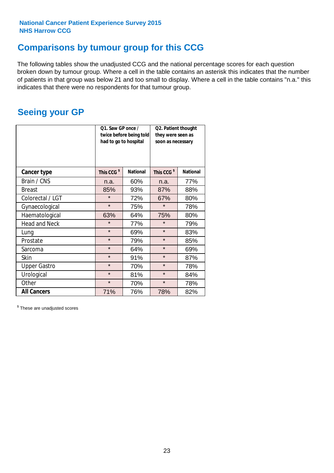# **Comparisons by tumour group for this CCG**

The following tables show the unadjusted CCG and the national percentage scores for each question broken down by tumour group. Where a cell in the table contains an asterisk this indicates that the number of patients in that group was below 21 and too small to display. Where a cell in the table contains "n.a." this indicates that there were no respondents for that tumour group.

# **Seeing your GP**

|                      | Q1. Saw GP once /<br>had to go to hospital | twice before being told | Q2. Patient thought<br>they were seen as<br>soon as necessary |                 |  |
|----------------------|--------------------------------------------|-------------------------|---------------------------------------------------------------|-----------------|--|
| <b>Cancer type</b>   | This CCG <sup>\$</sup>                     | <b>National</b>         | This CCG <sup>\$</sup>                                        | <b>National</b> |  |
| Brain / CNS          | n.a.                                       | 60%                     | n.a.                                                          | 77%             |  |
| <b>Breast</b>        | 85%                                        | 93%                     | 87%                                                           | 88%             |  |
| Colorectal / LGT     | $\star$                                    | 72%                     | 67%                                                           | 80%             |  |
| Gynaecological       | $\star$                                    | 75%                     | $\star$                                                       | 78%             |  |
| Haematological       | 63%                                        | 64%                     | 75%                                                           | 80%             |  |
| <b>Head and Neck</b> | $\star$                                    | 77%                     | $\star$                                                       | 79%             |  |
| Lung                 | $\star$                                    | 69%                     | $\star$                                                       | 83%             |  |
| Prostate             | $\star$                                    | 79%                     | $\star$                                                       | 85%             |  |
| Sarcoma              | $\star$                                    | 64%                     | $\star$                                                       | 69%             |  |
| <b>Skin</b>          | $\star$                                    | 91%                     | $\star$                                                       | 87%             |  |
| <b>Upper Gastro</b>  | $\star$                                    | 70%                     | $\star$                                                       | 78%             |  |
| Urological           | $\star$                                    | 81%                     | $\star$                                                       | 84%             |  |
| Other                | $\star$<br>70%                             |                         | $\star$                                                       | 78%             |  |
| <b>All Cancers</b>   | 71%                                        | 76%                     | 78%                                                           | 82%             |  |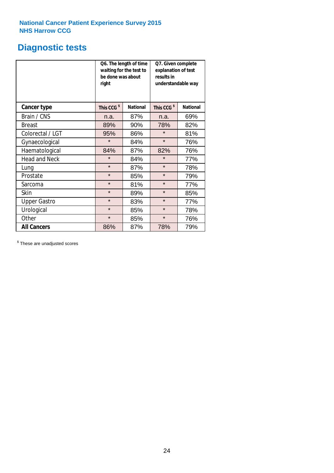# **Diagnostic tests**

|                      | be done was about<br>right | Q6. The length of time<br>waiting for the test to | Q7. Given complete<br>explanation of test<br>results in<br>understandable way |                 |  |
|----------------------|----------------------------|---------------------------------------------------|-------------------------------------------------------------------------------|-----------------|--|
| <b>Cancer type</b>   | This CCG <sup>\$</sup>     | <b>National</b>                                   | This CCG <sup>\$</sup>                                                        | <b>National</b> |  |
| Brain / CNS          | n.a.                       | 87%                                               | n.a.                                                                          | 69%             |  |
| <b>Breast</b>        | 89%                        | 90%                                               | 78%                                                                           | 82%             |  |
| Colorectal / LGT     | 95%                        | 86%                                               | $\star$                                                                       | 81%             |  |
| Gynaecological       | $\star$                    | 84%                                               | $\star$                                                                       | 76%             |  |
| Haematological       | 84%                        | 87%                                               | 82%                                                                           | 76%             |  |
| <b>Head and Neck</b> | $\star$                    | 84%                                               | $\star$                                                                       | 77%             |  |
| Lung                 | $\star$                    | 87%                                               | $\star$                                                                       | 78%             |  |
| Prostate             | $\star$                    | 85%                                               | $\star$                                                                       | 79%             |  |
| Sarcoma              | $\star$                    | 81%                                               | $\star$                                                                       | 77%             |  |
| Skin                 | $\star$                    | 89%                                               | $\star$                                                                       | 85%             |  |
| <b>Upper Gastro</b>  | $\star$                    | 83%                                               | $\star$                                                                       | 77%             |  |
| Urological           | $\star$                    | 85%                                               | $\star$                                                                       | 78%             |  |
| Other                | $\star$                    | 85%                                               | $\star$                                                                       | 76%             |  |
| <b>All Cancers</b>   | 86%                        | 87%                                               | 78%                                                                           | 79%             |  |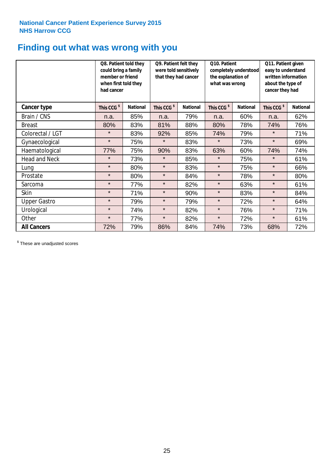# **Finding out what was wrong with you**

|                      | Q8. Patient told they<br>could bring a family<br>member or friend<br>when first told they<br>had cancer |                 | Q9. Patient felt they<br>were told sensitively<br>that they had cancer |                 | Q10. Patient<br>completely understood<br>the explanation of<br>what was wrong |                 | Q11. Patient given<br>easy to understand<br>written information<br>about the type of<br>cancer they had |                 |
|----------------------|---------------------------------------------------------------------------------------------------------|-----------------|------------------------------------------------------------------------|-----------------|-------------------------------------------------------------------------------|-----------------|---------------------------------------------------------------------------------------------------------|-----------------|
| Cancer type          | This CCG <sup>\$</sup>                                                                                  | <b>National</b> | This CCG <sup>\$</sup>                                                 | <b>National</b> | This CCG <sup>\$</sup>                                                        | <b>National</b> | This CCG <sup>\$</sup>                                                                                  | <b>National</b> |
| Brain / CNS          | n.a.                                                                                                    | 85%             | n.a.                                                                   | 79%             | n.a.                                                                          | 60%             | n.a.                                                                                                    | 62%             |
| <b>Breast</b>        | 80%                                                                                                     | 83%             | 81%                                                                    | 88%             | 80%                                                                           | 78%             | 74%                                                                                                     | 76%             |
| Colorectal / LGT     | $\star$                                                                                                 | 83%             | 92%                                                                    | 85%             | 74%                                                                           | 79%             | $\star$                                                                                                 | 71%             |
| Gynaecological       | $\star$                                                                                                 | 75%             | $\star$                                                                | 83%             | $\star$                                                                       | 73%             | $\star$                                                                                                 | 69%             |
| Haematological       | 77%                                                                                                     | 75%             | 90%                                                                    | 83%             | 63%                                                                           | 60%             | 74%                                                                                                     | 74%             |
| <b>Head and Neck</b> | $\star$                                                                                                 | 73%             | $\star$                                                                | 85%             | $\star$                                                                       | 75%             | $\star$                                                                                                 | 61%             |
| Lung                 | $\star$                                                                                                 | 80%             | $\star$                                                                | 83%             | $\star$                                                                       | 75%             | $\star$                                                                                                 | 66%             |
| Prostate             | $\star$                                                                                                 | 80%             | $\star$                                                                | 84%             | $\star$                                                                       | 78%             | $\star$                                                                                                 | 80%             |
| Sarcoma              | $\star$                                                                                                 | 77%             | $\star$                                                                | 82%             | $\star$                                                                       | 63%             | $\star$                                                                                                 | 61%             |
| Skin                 | $\star$                                                                                                 | 71%             | $\star$                                                                | 90%             | $\star$                                                                       | 83%             | $\star$                                                                                                 | 84%             |
| <b>Upper Gastro</b>  | $\star$                                                                                                 | 79%             | $\star$                                                                | 79%             | $\star$                                                                       | 72%             | $\star$                                                                                                 | 64%             |
| Urological           | $\star$                                                                                                 | 74%             | $\star$                                                                | 82%             | $\star$                                                                       | 76%             | $\star$                                                                                                 | 71%             |
| Other                | $\star$                                                                                                 | 77%             | $\star$                                                                | 82%             | $\star$                                                                       | 72%             | $\star$                                                                                                 | 61%             |
| <b>All Cancers</b>   | 72%                                                                                                     | 79%             | 86%                                                                    | 84%             | 74%                                                                           | 73%             | 68%                                                                                                     | 72%             |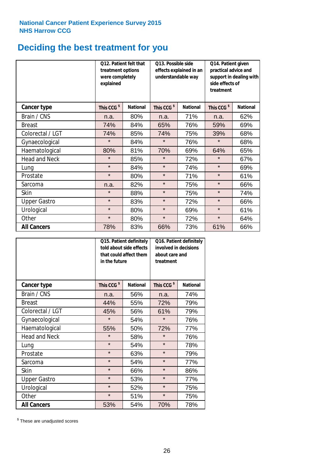# **Deciding the best treatment for you**

|                      | <b>Q12. Patient felt that</b><br>treatment options<br>were completely<br>explained |                 | Q13. Possible side<br>understandable way | effects explained in an | Q14. Patient given<br>practical advice and<br>support in dealing with<br>side effects of<br>treatment |                 |  |
|----------------------|------------------------------------------------------------------------------------|-----------------|------------------------------------------|-------------------------|-------------------------------------------------------------------------------------------------------|-----------------|--|
| <b>Cancer type</b>   | This CCG <sup>\$</sup>                                                             | <b>National</b> | This CCG <sup>\$</sup>                   | <b>National</b>         | This CCG <sup>\$</sup>                                                                                | <b>National</b> |  |
| Brain / CNS          | n.a.                                                                               | 80%             | n.a.                                     | 71%                     | n.a.                                                                                                  | 62%             |  |
| <b>Breast</b>        | 74%                                                                                | 84%             | 65%                                      | 76%                     | 59%                                                                                                   | 69%             |  |
| Colorectal / LGT     | 74%                                                                                | 85%             | 74%                                      | 75%                     | 39%                                                                                                   | 68%             |  |
| Gynaecological       | $\star$                                                                            | 84%             | $\star$                                  | 76%                     | $\star$                                                                                               | 68%             |  |
| Haematological       | 80%                                                                                | 81%             | 70%                                      | 69%                     | 64%                                                                                                   | 65%             |  |
| <b>Head and Neck</b> | $\star$                                                                            | 85%             | $\star$                                  | 72%                     | $\star$                                                                                               | 67%             |  |
| Lung                 | $\star$                                                                            | 84%             | $\star$                                  | 74%                     | $\star$                                                                                               | 69%             |  |
| Prostate             | $\star$                                                                            | 80%             | $\star$                                  | 71%                     | $\star$                                                                                               | 61%             |  |
| Sarcoma              | n.a.                                                                               | 82%             | $\star$                                  | 75%                     | $\star$                                                                                               | 66%             |  |
| Skin                 | $\star$                                                                            | 88%             | $\star$                                  | 75%                     | $\star$                                                                                               | 74%             |  |
| <b>Upper Gastro</b>  | $\star$                                                                            | 83%             | $\star$                                  | 72%                     | $\star$                                                                                               | 66%             |  |
| Urological           | $\star$                                                                            | 80%             | $\star$                                  | 69%                     | $\star$                                                                                               | 61%             |  |
| Other                | $\star$                                                                            | 80%             | $\star$                                  | 72%                     | $\star$                                                                                               | 64%             |  |
| <b>All Cancers</b>   | 78%                                                                                | 83%             | 66%                                      | 73%                     | 61%                                                                                                   | 66%             |  |

|                      | in the future          | Q15. Patient definitely<br>told about side effects<br>that could affect them | Q16. Patient definitely<br>involved in decisions<br>about care and<br>treatment |                 |  |
|----------------------|------------------------|------------------------------------------------------------------------------|---------------------------------------------------------------------------------|-----------------|--|
| <b>Cancer type</b>   | This CCG <sup>\$</sup> | <b>National</b>                                                              | This CCG <sup>\$</sup>                                                          | <b>National</b> |  |
| Brain / CNS          | n.a.                   | 56%                                                                          | n.a.                                                                            | 74%             |  |
| <b>Breast</b>        | 44%                    | 55%                                                                          | 72%                                                                             | 79%             |  |
| Colorectal / LGT     | 45%                    | 56%                                                                          | 61%                                                                             | 79%             |  |
| Gynaecological       | $\star$<br>54%         |                                                                              | $\star$                                                                         | 76%             |  |
| Haematological       | 50%<br>55%             |                                                                              | 72%                                                                             | 77%             |  |
| <b>Head and Neck</b> | $\star$                | 58%                                                                          | $\star$                                                                         | 76%             |  |
| Lung                 | $\star$                | 54%                                                                          | $\star$                                                                         | 78%             |  |
| Prostate             | $\star$                | 63%                                                                          | $\star$                                                                         | 79%             |  |
| Sarcoma              | $\star$                | 54%                                                                          | $\star$                                                                         | 77%             |  |
| Skin                 | $\star$                | 66%                                                                          | $\star$                                                                         | 86%             |  |
| <b>Upper Gastro</b>  | $\star$                | 53%                                                                          | $\star$                                                                         | 77%             |  |
| Urological           | $\star$                | 52%                                                                          | $\star$                                                                         | 75%             |  |
| Other                | $\star$                | 51%                                                                          | $\star$                                                                         | 75%             |  |
| <b>All Cancers</b>   | 53%                    | 54%                                                                          | 70%                                                                             | 78%             |  |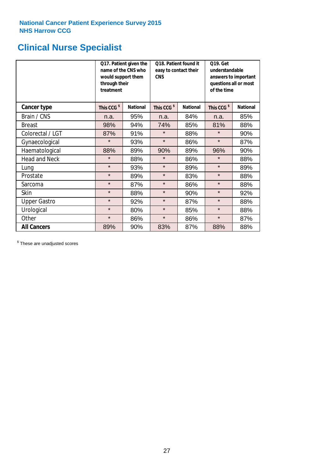# **Clinical Nurse Specialist**

|                      | would support them<br>through their<br>treatment | Q17. Patient given the<br>name of the CNS who | Q18. Patient found it<br>easy to contact their<br><b>CNS</b> |                 | <b>Q19. Get</b><br>understandable<br>answers to important<br>questions all or most<br>of the time |                 |
|----------------------|--------------------------------------------------|-----------------------------------------------|--------------------------------------------------------------|-----------------|---------------------------------------------------------------------------------------------------|-----------------|
| Cancer type          | This CCG <sup>\$</sup>                           | <b>National</b>                               | This CCG <sup>\$</sup>                                       | <b>National</b> | This CCG <sup>\$</sup>                                                                            | <b>National</b> |
| Brain / CNS          | n.a.                                             | 95%                                           | n.a.                                                         | 84%             | n.a.                                                                                              | 85%             |
| <b>Breast</b>        | 98%                                              | 94%                                           | 74%                                                          | 85%             | 81%                                                                                               | 88%             |
| Colorectal / LGT     | 87%                                              | 91%                                           | $\star$                                                      | 88%             | $\star$                                                                                           | 90%             |
| Gynaecological       | $\star$                                          | 93%                                           | $\star$                                                      | 86%             | $\star$                                                                                           | 87%             |
| Haematological       | 88%                                              | 89%                                           | 90%                                                          | 89%             | 96%                                                                                               | 90%             |
| <b>Head and Neck</b> | $\star$                                          | 88%                                           | $\star$                                                      | 86%             | $\star$                                                                                           | 88%             |
| Lung                 | $\star$                                          | 93%                                           | $\star$                                                      | 89%             | $\star$                                                                                           | 89%             |
| Prostate             | $\star$                                          | 89%                                           | $\star$                                                      | 83%             | $\star$                                                                                           | 88%             |
| Sarcoma              | $\star$                                          | 87%                                           | $\star$                                                      | 86%             | $\star$                                                                                           | 88%             |
| Skin                 | $\star$                                          | 88%                                           | $\star$                                                      | 90%             | $\star$                                                                                           | 92%             |
| <b>Upper Gastro</b>  | $\star$                                          | 92%                                           | $\star$                                                      | 87%             | $\star$                                                                                           | 88%             |
| Urological           | $\star$                                          | 80%                                           | $\star$                                                      | 85%             | $\star$                                                                                           | 88%             |
| Other                | $\star$                                          | 86%                                           | $\star$                                                      | 86%             | $\star$                                                                                           | 87%             |
| <b>All Cancers</b>   | 89%                                              | 90%                                           | 83%                                                          | 87%             | 88%                                                                                               | 88%             |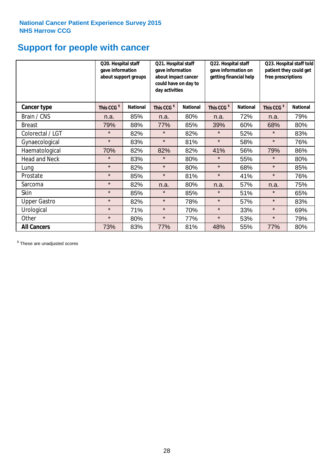# **Support for people with cancer**

|                      | Q20. Hospital staff<br>gave information | Q21. Hospital staff<br>gave information<br>about support groups<br>about impact cancer<br>could have on day to<br>day activities |                        | Q22. Hospital staff<br>gave information on<br>getting financial help |                        | Q23. Hospital staff told<br>patient they could get<br>free prescriptions |                        |                 |
|----------------------|-----------------------------------------|----------------------------------------------------------------------------------------------------------------------------------|------------------------|----------------------------------------------------------------------|------------------------|--------------------------------------------------------------------------|------------------------|-----------------|
| <b>Cancer type</b>   | This CCG <sup>\$</sup>                  | <b>National</b>                                                                                                                  | This CCG <sup>\$</sup> | <b>National</b>                                                      | This CCG <sup>\$</sup> | <b>National</b>                                                          | This CCG <sup>\$</sup> | <b>National</b> |
| Brain / CNS          | n.a.                                    | 85%                                                                                                                              | n.a.                   | 80%                                                                  | n.a.                   | 72%                                                                      | n.a.                   | 79%             |
| <b>Breast</b>        | 79%                                     | 88%                                                                                                                              | 77%                    | 85%                                                                  | 39%                    | 60%                                                                      | 68%                    | 80%             |
| Colorectal / LGT     | $\star$                                 | 82%                                                                                                                              | $\star$                | 82%                                                                  | $\star$                | 52%                                                                      | $\star$                | 83%             |
| Gynaecological       | $\star$                                 | 83%                                                                                                                              | $\star$                | 81%                                                                  | $\star$                | 58%                                                                      | $\star$                | 76%             |
| Haematological       | 70%                                     | 82%                                                                                                                              | 82%                    | 82%                                                                  | 41%                    | 56%                                                                      | 79%                    | 86%             |
| <b>Head and Neck</b> | $\star$                                 | 83%                                                                                                                              | $\star$                | 80%                                                                  | $\star$                | 55%                                                                      | $\star$                | 80%             |
| Lung                 | $\star$                                 | 82%                                                                                                                              | $\star$                | 80%                                                                  | $\star$                | 68%                                                                      | $\star$                | 85%             |
| Prostate             | $\star$                                 | 85%                                                                                                                              | $\star$                | 81%                                                                  | $\star$                | 41%                                                                      | $\star$                | 76%             |
| Sarcoma              | $\star$                                 | 82%                                                                                                                              | n.a.                   | 80%                                                                  | n.a.                   | 57%                                                                      | n.a.                   | 75%             |
| Skin                 | $\star$                                 | 85%                                                                                                                              | $\star$                | 85%                                                                  | $\star$                | 51%                                                                      | $\star$                | 65%             |
| <b>Upper Gastro</b>  | $\star$                                 | 82%                                                                                                                              | $\star$                | 78%                                                                  | $\star$                | 57%                                                                      | $\star$                | 83%             |
| Urological           | $\star$                                 | 71%                                                                                                                              | $\star$                | 70%                                                                  | $\star$                | 33%                                                                      | $\star$                | 69%             |
| Other                | $\star$                                 | 80%                                                                                                                              | $\star$                | 77%                                                                  | $\star$                | 53%                                                                      | $\star$                | 79%             |
| <b>All Cancers</b>   | 73%                                     | 83%                                                                                                                              | 77%                    | 81%                                                                  | 48%                    | 55%                                                                      | 77%                    | 80%             |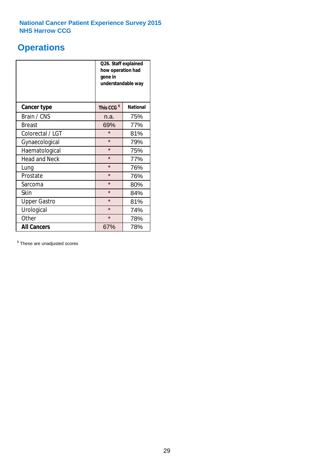# **Operations**

|                      | Q26. Staff explained<br>how operation had<br>gone in<br>understandable way |                 |  |  |
|----------------------|----------------------------------------------------------------------------|-----------------|--|--|
| <b>Cancer type</b>   | This CCG <sup>\$</sup>                                                     | <b>National</b> |  |  |
| Brain / CNS          | n.a.                                                                       | 75%             |  |  |
| <b>Breast</b>        | 69%                                                                        | 77%             |  |  |
| Colorectal / LGT     | $\star$                                                                    | 81%             |  |  |
| Gynaecological       | $\star$                                                                    | 79%             |  |  |
| Haematological       | $\star$<br>75%                                                             |                 |  |  |
| <b>Head and Neck</b> | $\star$                                                                    | 77%             |  |  |
| Lung                 | $\star$                                                                    | 76%             |  |  |
| Prostate             | $\star$                                                                    | 76%             |  |  |
| Sarcoma              | $\star$                                                                    | 80%             |  |  |
| Skin                 | $\star$                                                                    | 84%             |  |  |
| <b>Upper Gastro</b>  | $\star$                                                                    | 81%             |  |  |
| Urological           | $\star$                                                                    | 74%             |  |  |
| Other                | $\star$<br>78%                                                             |                 |  |  |
| <b>All Cancers</b>   | 67%                                                                        | 78%             |  |  |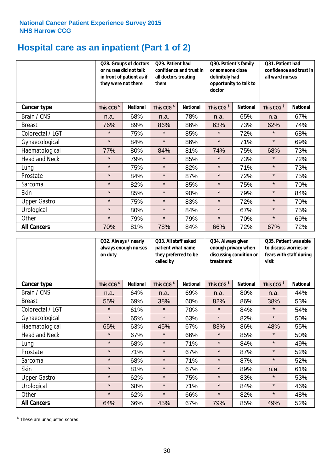# **Hospital care as an inpatient (Part 1 of 2)**

|                      | or nurses did not talk<br>they were not there | Q28. Groups of doctors<br>in front of patient as if | Q29. Patient had<br>confidence and trust in<br>all doctors treating<br>them |                 | Q30. Patient's family<br>or someone close<br>definitely had<br>opportunity to talk to<br>doctor |                 | Q31. Patient had<br>confidence and trust in I<br>all ward nurses |                 |
|----------------------|-----------------------------------------------|-----------------------------------------------------|-----------------------------------------------------------------------------|-----------------|-------------------------------------------------------------------------------------------------|-----------------|------------------------------------------------------------------|-----------------|
| Cancer type          | This CCG <sup>\$</sup>                        | <b>National</b>                                     | This CCG <sup>\$</sup>                                                      | <b>National</b> | This CCG <sup>\$</sup>                                                                          | <b>National</b> | This CCG <sup>\$</sup>                                           | <b>National</b> |
| Brain / CNS          | n.a.                                          | 68%                                                 | n.a.                                                                        | 78%             | n.a.                                                                                            | 65%             | n.a.                                                             | 67%             |
| <b>Breast</b>        | 76%                                           | 89%                                                 | 86%                                                                         | 86%             | 63%                                                                                             | 73%             | 62%                                                              | 74%             |
| Colorectal / LGT     | $\star$                                       | 75%                                                 | $\star$                                                                     | 85%             | $\star$                                                                                         | 72%             | $\star$                                                          | 68%             |
| Gynaecological       | $\star$                                       | 84%                                                 | $\star$                                                                     | 86%             | $\star$                                                                                         | 71%             | $\star$                                                          | 69%             |
| Haematological       | 77%                                           | 80%                                                 | 84%                                                                         | 81%             | 74%                                                                                             | 75%             | 68%                                                              | 73%             |
| <b>Head and Neck</b> | $\star$                                       | 79%                                                 | $\star$                                                                     | 85%             | $\star$                                                                                         | 73%             | $\star$                                                          | 72%             |
| Lung                 | $\star$                                       | 75%                                                 | $\star$                                                                     | 82%             | $\star$                                                                                         | 71%             | $\star$                                                          | 73%             |
| Prostate             | $\star$                                       | 84%                                                 | $\star$                                                                     | 87%             | $\star$                                                                                         | 72%             | $\star$                                                          | 75%             |
| Sarcoma              | $\star$                                       | 82%                                                 | $\star$                                                                     | 85%             | $\star$                                                                                         | 75%             | $\star$                                                          | 70%             |
| Skin                 | $\star$                                       | 85%                                                 | $\star$                                                                     | 90%             | $\star$                                                                                         | 79%             | $\star$                                                          | 84%             |
| <b>Upper Gastro</b>  | $\star$                                       | 75%                                                 | $\star$                                                                     | 83%             | $\star$                                                                                         | 72%             | $\star$                                                          | 70%             |
| Urological           | $\star$                                       | 80%                                                 | $\star$                                                                     | 84%             | $\star$                                                                                         | 67%             | $\star$                                                          | 75%             |
| Other                | $\star$                                       | 79%                                                 | $\star$                                                                     | 79%             | $\star$                                                                                         | 70%             | $\star$                                                          | 69%             |
| <b>All Cancers</b>   | 70%                                           | 81%                                                 | 78%                                                                         | 84%             | 66%                                                                                             | 72%             | 67%                                                              | 72%             |

|                      | on duty                | Q32. Always / nearly<br>always enough nurses<br>called by |                        | Q33. All staff asked<br>patient what name<br>they preferred to be | treatment              | Q34. Always given<br>enough privacy when<br>discussing condition or |                        | Q35. Patient was able<br>to discuss worries or<br>fears with staff during<br>visit |  |
|----------------------|------------------------|-----------------------------------------------------------|------------------------|-------------------------------------------------------------------|------------------------|---------------------------------------------------------------------|------------------------|------------------------------------------------------------------------------------|--|
| <b>Cancer type</b>   | This CCG <sup>\$</sup> | <b>National</b>                                           | This CCG <sup>\$</sup> | <b>National</b>                                                   | This CCG <sup>\$</sup> | <b>National</b>                                                     | This CCG <sup>\$</sup> | <b>National</b>                                                                    |  |
| Brain / CNS          | n.a.                   | 64%                                                       | n.a.                   | 69%                                                               | n.a.                   | 80%                                                                 | n.a.                   | 44%                                                                                |  |
| <b>Breast</b>        | 55%                    | 69%                                                       | 38%                    | 60%                                                               | 82%                    | 86%                                                                 | 38%                    | 53%                                                                                |  |
| Colorectal / LGT     | $\star$                | 61%                                                       | $\star$                | 70%                                                               | $\star$                | 84%                                                                 | $\star$                | 54%                                                                                |  |
| Gynaecological       | $\star$                | 65%                                                       | $\star$                | 63%                                                               | $\star$                | 82%                                                                 | $\star$                | 50%                                                                                |  |
| Haematological       | 65%                    | 63%                                                       | 45%                    | 67%                                                               | 83%                    | 86%                                                                 | 48%                    | 55%                                                                                |  |
| <b>Head and Neck</b> | $\star$                | 67%                                                       | $\star$                | 66%                                                               | $\star$                | 85%                                                                 | $\star$                | 50%                                                                                |  |
| Lung                 | $\star$                | 68%                                                       | $\star$                | 71%                                                               | $\star$                | 84%                                                                 | $\star$                | 49%                                                                                |  |
| Prostate             | $\star$                | 71%                                                       | $\star$                | 67%                                                               | $\star$                | 87%                                                                 | $\star$                | 52%                                                                                |  |
| Sarcoma              | $\star$                | 68%                                                       | $\star$                | 71%                                                               | $\star$                | 87%                                                                 | $\star$                | 52%                                                                                |  |
| Skin                 | $\star$                | 81%                                                       | $\star$                | 67%                                                               | $\star$                | 89%                                                                 | n.a.                   | 61%                                                                                |  |
| <b>Upper Gastro</b>  | $\star$                | 62%                                                       | $\star$                | 75%                                                               | $\star$                | 83%                                                                 | $\star$                | 53%                                                                                |  |
| Urological           | $\star$                | 68%                                                       | $\star$                | 71%                                                               | $\star$                | 84%                                                                 | $\star$                | 46%                                                                                |  |
| Other                | $\star$                | 62%                                                       | $\star$                | 66%                                                               | $\star$                | 82%                                                                 | $\star$                | 48%                                                                                |  |
| <b>All Cancers</b>   | 64%                    | 66%                                                       | 45%                    | 67%                                                               | 79%                    | 85%                                                                 | 49%                    | 52%                                                                                |  |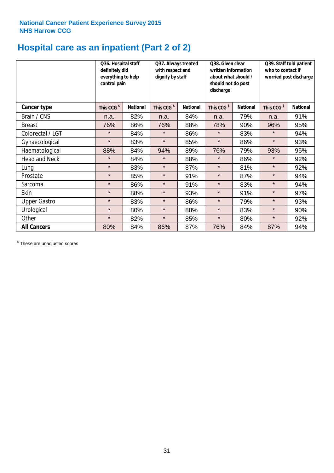# **Hospital care as an inpatient (Part 2 of 2)**

|                      | Q36. Hospital staff<br>definitely did<br>everything to help<br>control pain |                 | Q37. Always treated<br>with respect and<br>dignity by staff |                 | Q38. Given clear<br>written information<br>about what should /<br>should not do post<br>discharge |                 | Q39. Staff told patient<br>who to contact if<br>worried post discharge |                 |
|----------------------|-----------------------------------------------------------------------------|-----------------|-------------------------------------------------------------|-----------------|---------------------------------------------------------------------------------------------------|-----------------|------------------------------------------------------------------------|-----------------|
| Cancer type          | This CCG <sup>\$</sup>                                                      | <b>National</b> | This CCG <sup>\$</sup>                                      | <b>National</b> | This CCG <sup>\$</sup>                                                                            | <b>National</b> | This CCG <sup>\$</sup>                                                 | <b>National</b> |
| Brain / CNS          | n.a.                                                                        | 82%             | n.a.                                                        | 84%             | n.a.                                                                                              | 79%             | n.a.                                                                   | 91%             |
| <b>Breast</b>        | 76%                                                                         | 86%             | 76%                                                         | 88%             | 78%                                                                                               | 90%             | 96%                                                                    | 95%             |
| Colorectal / LGT     | $\star$                                                                     | 84%             | $\star$                                                     | 86%             | $\star$                                                                                           | 83%             | $\star$                                                                | 94%             |
| Gynaecological       | $\star$                                                                     | 83%             | $\star$                                                     | 85%             | $\star$                                                                                           | 86%             | $\star$                                                                | 93%             |
| Haematological       | 88%                                                                         | 84%             | 94%                                                         | 89%             | 76%                                                                                               | 79%             | 93%                                                                    | 95%             |
| <b>Head and Neck</b> | $\star$                                                                     | 84%             | $\star$                                                     | 88%             | $\star$                                                                                           | 86%             | $\star$                                                                | 92%             |
| Lung                 | $\star$                                                                     | 83%             | $\star$                                                     | 87%             | $\star$                                                                                           | 81%             | $\star$                                                                | 92%             |
| Prostate             | $\star$                                                                     | 85%             | $\star$                                                     | 91%             | $\star$                                                                                           | 87%             | $\star$                                                                | 94%             |
| Sarcoma              | $\star$                                                                     | 86%             | $\star$                                                     | 91%             | $\star$                                                                                           | 83%             | $\star$                                                                | 94%             |
| Skin                 | $\star$                                                                     | 88%             | $\star$                                                     | 93%             | $\star$                                                                                           | 91%             | $\star$                                                                | 97%             |
| <b>Upper Gastro</b>  | $\star$                                                                     | 83%             | $\star$                                                     | 86%             | $\star$                                                                                           | 79%             | $\star$                                                                | 93%             |
| Urological           | $\star$                                                                     | 80%             | $\star$                                                     | 88%             | $\star$                                                                                           | 83%             | $\star$                                                                | 90%             |
| Other                | $\star$                                                                     | 82%             | $\star$                                                     | 85%             | $\star$                                                                                           | 80%             | $\star$                                                                | 92%             |
| <b>All Cancers</b>   | 80%                                                                         | 84%             | 86%                                                         | 87%             | 76%                                                                                               | 84%             | 87%                                                                    | 94%             |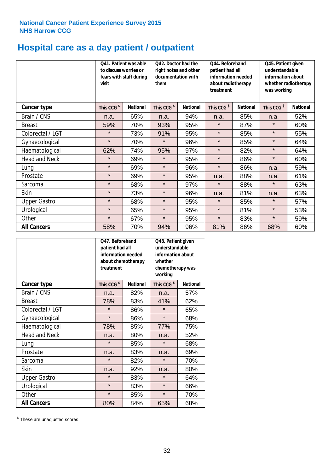# **Hospital care as a day patient / outpatient**

|                      | to discuss worries or<br>visit | Q41. Patient was able<br>fears with staff during | Q42. Doctor had the<br>right notes and other<br>documentation with<br>them |                 | Q44. Beforehand<br>patient had all<br>information needed<br>about radiotherapy<br>treatment |                 | Q45. Patient given<br>understandable<br>information about<br>whether radiotherapy<br>was working |                 |
|----------------------|--------------------------------|--------------------------------------------------|----------------------------------------------------------------------------|-----------------|---------------------------------------------------------------------------------------------|-----------------|--------------------------------------------------------------------------------------------------|-----------------|
| <b>Cancer type</b>   | This CCG <sup>\$</sup>         | <b>National</b>                                  | This CCG <sup>\$</sup>                                                     | <b>National</b> | This CCG <sup>\$</sup>                                                                      | <b>National</b> | This CCG <sup>\$</sup>                                                                           | <b>National</b> |
| Brain / CNS          | n.a.                           | 65%                                              | n.a.                                                                       | 94%             | n.a.                                                                                        | 85%             | n.a.                                                                                             | 52%             |
| <b>Breast</b>        | 59%                            | 70%                                              | 93%                                                                        | 95%             | $\star$                                                                                     | 87%             | $\star$                                                                                          | 60%             |
| Colorectal / LGT     | $\star$                        | 73%                                              | 91%                                                                        | 95%             | $\star$                                                                                     | 85%             | $\star$                                                                                          | 55%             |
| Gynaecological       | $\star$                        | 70%                                              | $\star$                                                                    | 96%             | $\star$                                                                                     | 85%             | $\star$                                                                                          | 64%             |
| Haematological       | 62%                            | 74%                                              | 95%                                                                        | 97%             | $\star$                                                                                     | 82%             | $\star$                                                                                          | 64%             |
| <b>Head and Neck</b> | $\star$                        | 69%                                              | $\star$                                                                    | 95%             | $\star$                                                                                     | 86%             | $\star$                                                                                          | 60%             |
| Lung                 | $\star$                        | 69%                                              | $\star$                                                                    | 96%             | $\star$                                                                                     | 86%             | n.a.                                                                                             | 59%             |
| Prostate             | $\star$                        | 69%                                              | $\star$                                                                    | 95%             | n.a.                                                                                        | 88%             | n.a.                                                                                             | 61%             |
| Sarcoma              | $\star$                        | 68%                                              | $\star$                                                                    | 97%             | $\star$                                                                                     | 88%             | $\star$                                                                                          | 63%             |
| Skin                 | $\star$                        | 73%                                              | $\star$                                                                    | 96%             | n.a.                                                                                        | 81%             | n.a.                                                                                             | 63%             |
| <b>Upper Gastro</b>  | $\star$                        | 68%                                              | $\star$                                                                    | 95%             | $\star$                                                                                     | 85%             | $\star$                                                                                          | 57%             |
| Urological           | $\star$                        | 65%                                              | $\star$                                                                    | 95%             | $\star$                                                                                     | 81%             | $\star$                                                                                          | 53%             |
| Other                | $\star$                        | 67%                                              | $\star$                                                                    | 95%             | $\star$                                                                                     | 83%             | $\star$                                                                                          | 59%             |
| <b>All Cancers</b>   | 58%                            | 70%                                              | 94%                                                                        | 96%             | 81%                                                                                         | 86%             | 68%                                                                                              | 60%             |

|                      | O47. Beforehand<br>patient had all<br>information needed<br>treatment | about chemotherapy | Q48. Patient given<br>understandable<br>information about<br>whether<br>chemotherapy was<br>working |                 |  |
|----------------------|-----------------------------------------------------------------------|--------------------|-----------------------------------------------------------------------------------------------------|-----------------|--|
| <b>Cancer type</b>   | This CCG <sup>\$</sup>                                                | <b>National</b>    | This CCG <sup>\$</sup>                                                                              | <b>National</b> |  |
| Brain / CNS          | n.a.                                                                  | 82%                | n.a.                                                                                                | 57%             |  |
| <b>Breast</b>        | 78%                                                                   | 83%                | 41%                                                                                                 | 62%             |  |
| Colorectal / LGT     | $\star$                                                               | 86%                | $\star$                                                                                             | 65%             |  |
| Gynaecological       | $\star$                                                               | 86%                | $\star$                                                                                             | 68%             |  |
| Haematological       | 78%<br>85%                                                            |                    | 77%                                                                                                 | 75%             |  |
| <b>Head and Neck</b> | n.a.                                                                  | 80%                | n.a.                                                                                                | 52%             |  |
| Lung                 | $\star$                                                               | 85%                | $\star$                                                                                             | 68%             |  |
| Prostate             | n.a.                                                                  | 83%                | n.a.                                                                                                | 69%             |  |
| Sarcoma              | $\star$                                                               | 82%                | $\star$                                                                                             | 70%             |  |
| Skin                 | n.a.                                                                  | 92%                | n.a.                                                                                                | 80%             |  |
| <b>Upper Gastro</b>  | $\star$                                                               | 83%                | $\star$                                                                                             | 64%             |  |
| Urological           | $\star$                                                               | 83%                | $\star$                                                                                             | 66%             |  |
| Other                | $\star$                                                               | 85%                | $\star$                                                                                             | 70%             |  |
| <b>All Cancers</b>   | 80%                                                                   | 84%                | 65%                                                                                                 | 68%             |  |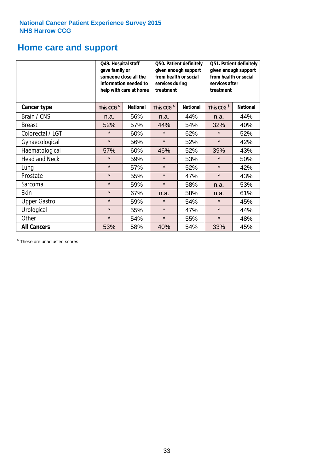# **Home care and support**

|                      | Q49. Hospital staff<br>gave family or | someone close all the<br>information needed to<br>help with care at home | Q50. Patient definitely<br>given enough support<br>from health or social<br>services during<br>treatment |                 | Q51. Patient definitely<br>given enough support<br>from health or social<br>services after<br>treatment |                 |
|----------------------|---------------------------------------|--------------------------------------------------------------------------|----------------------------------------------------------------------------------------------------------|-----------------|---------------------------------------------------------------------------------------------------------|-----------------|
| <b>Cancer type</b>   | This CCG <sup>\$</sup>                | <b>National</b>                                                          | This CCG <sup>\$</sup>                                                                                   | <b>National</b> | This CCG <sup>\$</sup>                                                                                  | <b>National</b> |
| Brain / CNS          | n.a.                                  | 56%                                                                      | n.a.                                                                                                     | 44%             | n.a.                                                                                                    | 44%             |
| <b>Breast</b>        | 52%                                   | 57%                                                                      | 44%                                                                                                      | 54%             | 32%                                                                                                     | 40%             |
| Colorectal / LGT     | $\star$                               | 60%                                                                      | $\star$                                                                                                  | 62%             | $\star$                                                                                                 | 52%             |
| Gynaecological       | $\star$                               | 56%                                                                      | $\star$                                                                                                  | 52%             | $\star$                                                                                                 | 42%             |
| Haematological       | 57%                                   | 60%                                                                      | 46%                                                                                                      | 52%             | 39%                                                                                                     | 43%             |
| <b>Head and Neck</b> | $\star$                               | 59%                                                                      | $\star$                                                                                                  | 53%             | $\star$                                                                                                 | 50%             |
| Lung                 | $\star$                               | 57%                                                                      | $\star$                                                                                                  | 52%             | $\star$                                                                                                 | 42%             |
| Prostate             | $\star$                               | 55%                                                                      | $\star$                                                                                                  | 47%             | $\star$                                                                                                 | 43%             |
| Sarcoma              | $\star$                               | 59%                                                                      | $\star$                                                                                                  | 58%             | n.a.                                                                                                    | 53%             |
| Skin                 | $\star$                               | 67%                                                                      | n.a.                                                                                                     | 58%             | n.a.                                                                                                    | 61%             |
| <b>Upper Gastro</b>  | $\star$                               | 59%                                                                      | $\star$                                                                                                  | 54%             | $\star$                                                                                                 | 45%             |
| Urological           | $\star$                               | 55%                                                                      | $\star$                                                                                                  | 47%             | $\star$                                                                                                 | 44%             |
| Other                | $\star$                               | 54%                                                                      | $\star$                                                                                                  | 55%             |                                                                                                         | 48%             |
| <b>All Cancers</b>   | 53%                                   | 58%                                                                      | 40%                                                                                                      | 54%             | 33%                                                                                                     | 45%             |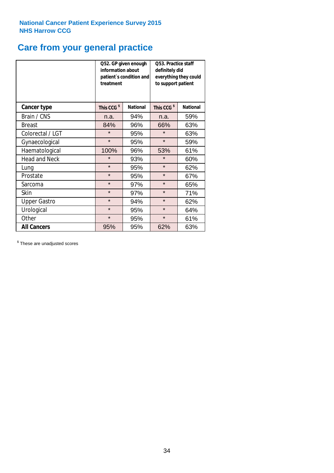# **Care from your general practice**

|                      | information about<br>treatment | Q52. GP given enough<br>patient's condition and | O53. Practice staff<br>definitely did<br>everything they could<br>to support patient |                 |  |
|----------------------|--------------------------------|-------------------------------------------------|--------------------------------------------------------------------------------------|-----------------|--|
| <b>Cancer type</b>   | This CCG <sup>\$</sup>         | <b>National</b>                                 | This CCG <sup>\$</sup>                                                               | <b>National</b> |  |
| Brain / CNS          | n.a.                           | 94%                                             | n.a.                                                                                 | 59%             |  |
| <b>Breast</b>        | 84%                            | 96%                                             | 66%                                                                                  | 63%             |  |
| Colorectal / LGT     | $\star$                        | 95%                                             | $\star$                                                                              | 63%             |  |
| Gynaecological       | $\star$<br>95%                 |                                                 | $\star$                                                                              | 59%             |  |
| Haematological       | 100%                           | 96%                                             | 53%                                                                                  | 61%             |  |
| <b>Head and Neck</b> | $\star$                        | 93%                                             | $\star$                                                                              | 60%             |  |
| Lung                 | $\star$                        | 95%                                             | $\star$                                                                              | 62%             |  |
| Prostate             | $\star$                        | 95%                                             | $\star$                                                                              | 67%             |  |
| Sarcoma              | $\star$                        | 97%                                             | $\star$                                                                              | 65%             |  |
| Skin                 | $\star$                        | 97%                                             | $\star$                                                                              | 71%             |  |
| <b>Upper Gastro</b>  | $\star$                        | 94%                                             | $\star$                                                                              | 62%             |  |
| Urological           | $\star$                        | 95%                                             | $\star$                                                                              | 64%             |  |
| Other                | $\star$                        | 95%                                             | $\star$                                                                              | 61%             |  |
| <b>All Cancers</b>   | 95%                            | 95%                                             | 62%                                                                                  | 63%             |  |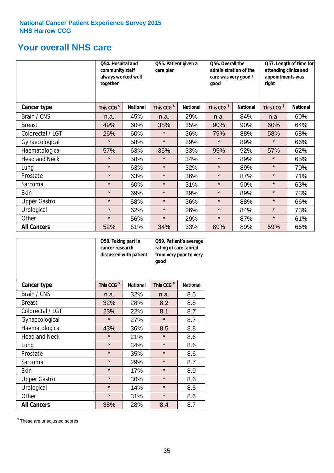# **Your overall NHS care**

|                      | Q54. Hospital and<br>community staff<br>always worked well<br>together |                 | Q55. Patient given a<br>care plan |                 | Q56. Overall the<br>administration of the<br>care was very good /<br>qood |                 | Q57. Length of time for<br>attending clinics and<br>appointments was<br>right |                 |  |
|----------------------|------------------------------------------------------------------------|-----------------|-----------------------------------|-----------------|---------------------------------------------------------------------------|-----------------|-------------------------------------------------------------------------------|-----------------|--|
| Cancer type          | This CCG <sup>\$</sup>                                                 | <b>National</b> | This CCG <sup>\$</sup>            | <b>National</b> | This CCG <sup>\$</sup>                                                    | <b>National</b> | This CCG <sup>\$</sup>                                                        | <b>National</b> |  |
| Brain / CNS          | n.a.                                                                   | 45%             | n.a.                              | 29%             | n.a.                                                                      | 84%             | n.a.                                                                          | 60%             |  |
| <b>Breast</b>        | 49%                                                                    | 60%             | 38%                               | 35%             | 90%                                                                       | 90%             | 60%                                                                           | 64%             |  |
| Colorectal / LGT     | 26%                                                                    | 60%             | $\star$                           | 36%             | 79%                                                                       | 88%             | 58%                                                                           | 68%             |  |
| Gynaecological       | $\star$                                                                | 58%             | $\star$                           | 29%             | $\star$                                                                   | 89%             | $\star$                                                                       | 66%             |  |
| Haematological       | 57%                                                                    | 63%             | 35%                               | 33%             | 95%                                                                       | 92%             | 57%                                                                           | 62%             |  |
| <b>Head and Neck</b> | $\star$                                                                | 58%             | $\star$                           | 34%             | $\star$                                                                   | 89%             | $\star$                                                                       | 65%             |  |
| Lung                 | $\star$                                                                | 63%             | $\star$                           | 32%             | $\star$                                                                   | 89%             | $\star$                                                                       | 70%             |  |
| Prostate             | $\star$                                                                | 63%             | $\star$                           | 36%             | $\star$                                                                   | 87%             | $\star$                                                                       | 71%             |  |
| Sarcoma              | $\star$                                                                | 60%             | $\star$                           | 31%             | $\star$                                                                   | 90%             | $\star$                                                                       | 63%             |  |
| Skin                 | $\star$                                                                | 69%             | $\star$                           | 39%             | $\star$                                                                   | 89%             | $\star$                                                                       | 73%             |  |
| <b>Upper Gastro</b>  | $\star$                                                                | 58%             | $\star$                           | 36%             | $\star$                                                                   | 88%             | $\star$                                                                       | 66%             |  |
| Urological           | $\star$                                                                | 62%             | $\star$                           | 26%             | $\star$                                                                   | 84%             | $\star$                                                                       | 73%             |  |
| Other                | $\star$                                                                | 56%             | $\star$                           | 29%             | $\star$                                                                   | 87%             | $\star$                                                                       | 61%             |  |
| <b>All Cancers</b>   | 52%                                                                    | 61%             | 34%                               | 33%             | 89%                                                                       | 89%             | 59%                                                                           | 66%             |  |

|                      | Q58. Taking part in<br>cancer research | discussed with patient | Q59. Patient's average<br>rating of care scored<br>from very poor to very<br>good |                 |  |
|----------------------|----------------------------------------|------------------------|-----------------------------------------------------------------------------------|-----------------|--|
| <b>Cancer type</b>   | This CCG <sup>\$</sup>                 | <b>National</b>        | This CCG <sup>\$</sup>                                                            | <b>National</b> |  |
| Brain / CNS          | n.a.                                   | 32%                    | n.a.                                                                              | 8.5             |  |
| <b>Breast</b>        | 32%                                    | 28%                    | 8.2                                                                               | 8.8             |  |
| Colorectal / LGT     | 23%                                    | 22%                    | 8.1                                                                               | 8.7             |  |
| Gynaecological       | $\star$<br>27%                         |                        | $\star$                                                                           | 8.7             |  |
| Haematological       | 43%                                    | 36%                    | 8.5                                                                               | 8.8             |  |
| <b>Head and Neck</b> | $\star$                                | 21%                    | $\star$                                                                           | 8.6             |  |
| Lung                 | $\star$                                | 34%                    | $\star$                                                                           | 8.6             |  |
| Prostate             | $\star$                                | 35%                    | $\star$                                                                           | 8.6             |  |
| Sarcoma              | $\star$                                | 29%                    | $\star$                                                                           | 8.7             |  |
| <b>Skin</b>          | $\star$                                | 17%                    | $\star$                                                                           | 8.9             |  |
| <b>Upper Gastro</b>  | $\star$                                | 30%                    | $\star$                                                                           | 8.6             |  |
| Urological           | $\star$                                | 14%                    | $\star$                                                                           | 8.5             |  |
| Other                | $\star$                                | 31%                    | $\star$                                                                           | 8.6             |  |
| <b>All Cancers</b>   | 38%                                    | 28%                    | 8.4                                                                               | 8.7             |  |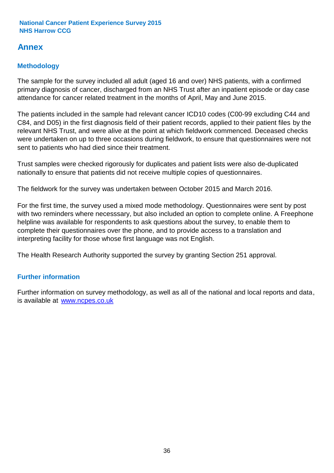# **Annex**

# **Methodology**

The sample for the survey included all adult (aged 16 and over) NHS patients, with a confirmed primary diagnosis of cancer, discharged from an NHS Trust after an inpatient episode or day case attendance for cancer related treatment in the months of April, May and June 2015.

The patients included in the sample had relevant cancer ICD10 codes (C00-99 excluding C44 and C84, and D05) in the first diagnosis field of their patient records, applied to their patient files by the relevant NHS Trust, and were alive at the point at which fieldwork commenced. Deceased checks were undertaken on up to three occasions during fieldwork, to ensure that questionnaires were not sent to patients who had died since their treatment.

Trust samples were checked rigorously for duplicates and patient lists were also de-duplicated nationally to ensure that patients did not receive multiple copies of questionnaires.

The fieldwork for the survey was undertaken between October 2015 and March 2016.

For the first time, the survey used a mixed mode methodology. Questionnaires were sent by post with two reminders where necesssary, but also included an option to complete online. A Freephone helpline was available for respondents to ask questions about the survey, to enable them to complete their questionnaires over the phone, and to provide access to a translation and interpreting facility for those whose first language was not English.

The Health Research Authority supported the survey by granting Section 251 approval.

# **Further information**

Further information on survey methodology, as well as all of the national and local reports and data, is available at www.ncpes.co.uk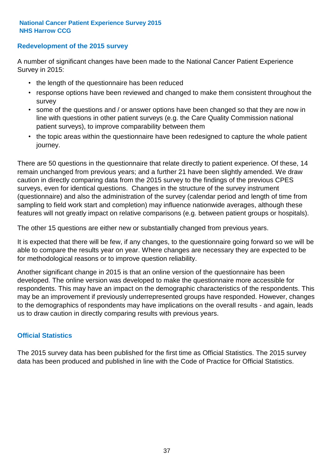### **Redevelopment of the 2015 survey**

A number of significant changes have been made to the National Cancer Patient Experience Survey in 2015:

- the length of the questionnaire has been reduced
- response options have been reviewed and changed to make them consistent throughout the survey
- some of the questions and / or answer options have been changed so that they are now in line with questions in other patient surveys (e.g. the Care Quality Commission national patient surveys), to improve comparability between them
- the topic areas within the questionnaire have been redesigned to capture the whole patient journey.

There are 50 questions in the questionnaire that relate directly to patient experience. Of these, 14 remain unchanged from previous years; and a further 21 have been slightly amended. We draw caution in directly comparing data from the 2015 survey to the findings of the previous CPES surveys, even for identical questions. Changes in the structure of the survey instrument (questionnaire) and also the administration of the survey (calendar period and length of time from sampling to field work start and completion) may influence nationwide averages, although these features will not greatly impact on relative comparisons (e.g. between patient groups or hospitals).

The other 15 questions are either new or substantially changed from previous years.

It is expected that there will be few, if any changes, to the questionnaire going forward so we will be able to compare the results year on year. Where changes are necessary they are expected to be for methodological reasons or to improve question reliability.

Another significant change in 2015 is that an online version of the questionnaire has been developed. The online version was developed to make the questionnaire more accessible for respondents. This may have an impact on the demographic characteristics of the respondents. This may be an improvement if previously underrepresented groups have responded. However, changes to the demographics of respondents may have implications on the overall results - and again, leads us to draw caution in directly comparing results with previous years.

### **Official Statistics**

The 2015 survey data has been published for the first time as Official Statistics. The 2015 survey data has been produced and published in line with the Code of Practice for Official Statistics.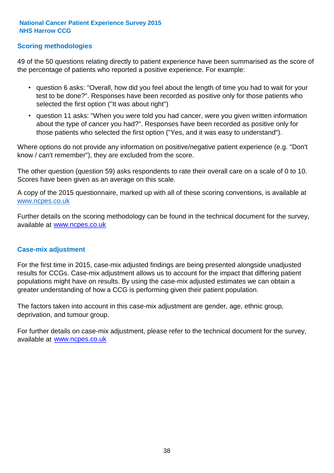## **Scoring methodologies**

49 of the 50 questions relating directly to patient experience have been summarised as the score of the percentage of patients who reported a positive experience. For example:

- question 6 asks: "Overall, how did you feel about the length of time you had to wait for your test to be done?". Responses have been recorded as positive only for those patients who selected the first option ("It was about right")
- question 11 asks: "When you were told you had cancer, were you given written information about the type of cancer you had?". Responses have been recorded as positive only for those patients who selected the first option ("Yes, and it was easy to understand").

Where options do not provide any information on positive/negative patient experience (e.g. "Don't know / can't remember"), they are excluded from the score.

The other question (question 59) asks respondents to rate their overall care on a scale of 0 to 10. Scores have been given as an average on this scale.

A copy of the 2015 questionnaire, marked up with all of these scoring conventions, is available at www.ncpes.co.uk

Further details on the scoring methodology can be found in the technical document for the survey, available at <u>www.ncpes.co.uk</u>

#### **Case-mix adjustment**

For the first time in 2015, case-mix adjusted findings are being presented alongside unadjusted results for CCGs. Case-mix adjustment allows us to account for the impact that differing patient populations might have on results. By using the case-mix adjusted estimates we can obtain a greater understanding of how a CCG is performing given their patient population.

The factors taken into account in this case-mix adjustment are gender, age, ethnic group, deprivation, and tumour group.

For further details on case-mix adjustment, please refer to the technical document for the survey, available at www.ncpes.co.uk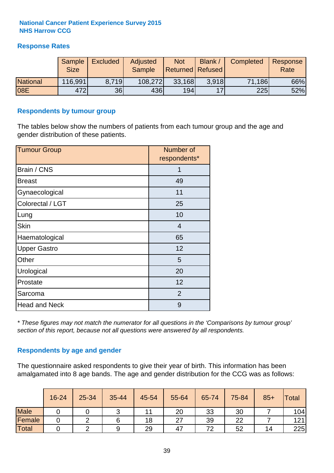### **Response Rates**

|                 | Sample<br><b>Size</b> | <b>Excluded</b> | <b>Adjusted</b><br><b>Sample</b> | <b>Not</b><br><b>Returned Refused</b> | Blank          | Completed | Response<br>Rate |
|-----------------|-----------------------|-----------------|----------------------------------|---------------------------------------|----------------|-----------|------------------|
| <b>National</b> | 116,991               | 8.719           | 108,272                          | 33,168                                | 3.918          | 71,186    | 66%              |
| 08E             | 472                   | 36              | 436                              | 194                                   | $\overline{1}$ | 225       | 52%              |

#### **Respondents by tumour group**

The tables below show the numbers of patients from each tumour group and the age and gender distribution of these patients.

| <b>Tumour Group</b>  | Number of<br>respondents* |  |  |
|----------------------|---------------------------|--|--|
| Brain / CNS          | 1                         |  |  |
| <b>Breast</b>        | 49                        |  |  |
| Gynaecological       | 11                        |  |  |
| Colorectal / LGT     | 25                        |  |  |
| Lung                 | 10                        |  |  |
| <b>Skin</b>          | 4                         |  |  |
| Haematological       | 65                        |  |  |
| <b>Upper Gastro</b>  | 12                        |  |  |
| Other                | 5                         |  |  |
| Urological           | 20                        |  |  |
| Prostate             | 12                        |  |  |
| Sarcoma              | 2                         |  |  |
| <b>Head and Neck</b> | 9                         |  |  |

*\* These figures may not match the numerator for all questions in the 'Comparisons by tumour group' section of this report, because not all questions were answered by all respondents.*

### **Respondents by age and gender**

The questionnaire asked respondents to give their year of birth. This information has been amalgamated into 8 age bands. The age and gender distribution for the CCG was as follows:

|             | 16-24 | 25-34 | 35-44 | 45-54 | 55-64 | 65-74 | 75-84 | $85+$ | Total |
|-------------|-------|-------|-------|-------|-------|-------|-------|-------|-------|
| <b>Male</b> |       |       |       |       | 20    | 33    | 30    |       | 104   |
| Female      |       |       |       | 18    | ົ     | 39    | 22    |       | 121   |
| Total       |       |       |       | 29    | 47    | 72    | 52    | 14    | 225   |